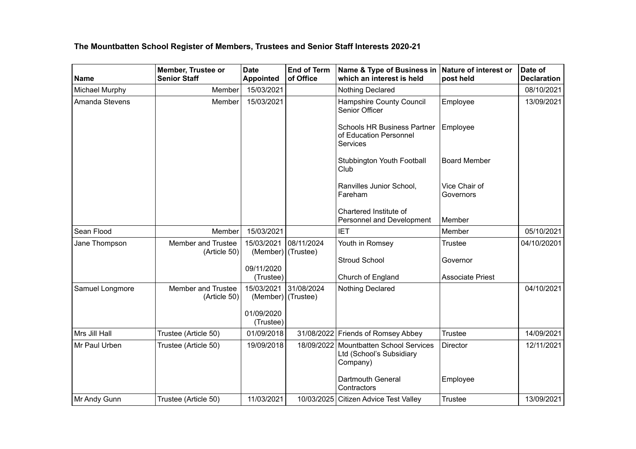## **The Mountbatten School Register of Members, Trustees and Senior Staff Interests 2020-21**

| <b>Name</b>     | Member, Trustee or<br><b>Senior Staff</b> | <b>Date</b><br><b>Appointed</b>  | <b>End of Term</b><br>of Office | Name & Type of Business in<br>which an interest is held                        | Nature of interest or<br>post held | Date of<br><b>Declaration</b> |
|-----------------|-------------------------------------------|----------------------------------|---------------------------------|--------------------------------------------------------------------------------|------------------------------------|-------------------------------|
| Michael Murphy  | Member                                    | 15/03/2021                       |                                 | Nothing Declared                                                               |                                    | 08/10/2021                    |
| Amanda Stevens  | Member                                    | 15/03/2021                       |                                 | Hampshire County Council<br>Senior Officer                                     | Employee                           | 13/09/2021                    |
|                 |                                           |                                  |                                 | <b>Schools HR Business Partner</b><br>of Education Personnel<br>Services       | Employee                           |                               |
|                 |                                           |                                  |                                 | Stubbington Youth Football<br>Club                                             | <b>Board Member</b>                |                               |
|                 |                                           |                                  |                                 | Ranvilles Junior School,<br>Fareham                                            | Vice Chair of<br>Governors         |                               |
|                 |                                           |                                  |                                 | Chartered Institute of<br>Personnel and Development                            | Member                             |                               |
| Sean Flood      | Member                                    | 15/03/2021                       |                                 | <b>IET</b>                                                                     | Member                             | 05/10/2021                    |
| Jane Thompson   | <b>Member and Trustee</b><br>(Article 50) | 15/03/2021<br>(Member) (Trustee) | 08/11/2024                      | Youth in Romsey                                                                | <b>Trustee</b>                     | 04/10/20201                   |
|                 |                                           |                                  |                                 | <b>Stroud School</b>                                                           | Governor                           |                               |
|                 |                                           | 09/11/2020<br>(Trustee)          |                                 | Church of England                                                              | <b>Associate Priest</b>            |                               |
| Samuel Longmore | Member and Trustee<br>(Article 50)        | 15/03/2021<br>(Member) (Trustee) | 31/08/2024                      | Nothing Declared                                                               |                                    | 04/10/2021                    |
|                 |                                           | 01/09/2020<br>(Trustee)          |                                 |                                                                                |                                    |                               |
| Mrs Jill Hall   | Trustee (Article 50)                      | 01/09/2018                       |                                 | 31/08/2022 Friends of Romsey Abbey                                             | <b>Trustee</b>                     | 14/09/2021                    |
| Mr Paul Urben   | Trustee (Article 50)                      | 19/09/2018                       |                                 | 18/09/2022 Mountbatten School Services<br>Ltd (School's Subsidiary<br>Company) | Director                           | 12/11/2021                    |
|                 |                                           |                                  |                                 | Dartmouth General<br>Contractors                                               | Employee                           |                               |
| Mr Andy Gunn    | Trustee (Article 50)                      | 11/03/2021                       |                                 | 10/03/2025 Citizen Advice Test Valley                                          | <b>Trustee</b>                     | 13/09/2021                    |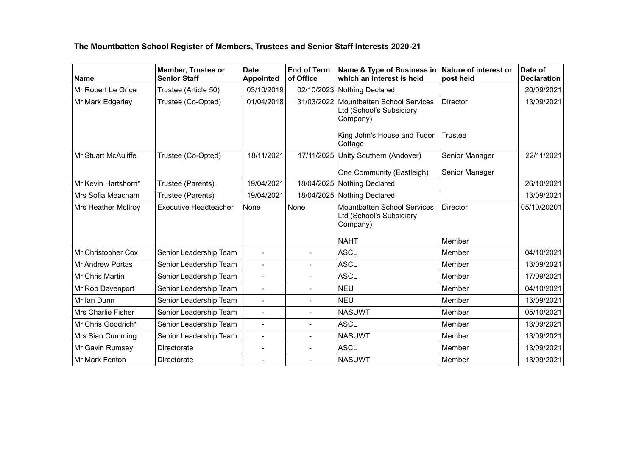## **The Mountbatten School Register of Members, Trustees and Senior Staff Interests 2020-21**

| <b>Name</b>               | <b>Member, Trustee or</b><br><b>Senior Staff</b> | <b>Date</b><br><b>Appointed</b> | <b>End of Term</b><br>of Office | Name & Type of Business in<br>which an interest is held                    | Nature of interest or<br>post held | Date of<br><b>Declaration</b> |
|---------------------------|--------------------------------------------------|---------------------------------|---------------------------------|----------------------------------------------------------------------------|------------------------------------|-------------------------------|
| Mr Robert Le Grice        | Trustee (Article 50)                             | 03/10/2019                      |                                 | 02/10/2023 Nothing Declared                                                |                                    | 20/09/2021                    |
| Mr Mark Edgerley          | Trustee (Co-Opted)                               | 01/04/2018                      | 31/03/2022                      | <b>Mountbatten School Services</b><br>Ltd (School's Subsidiary<br>Company) | <b>Director</b>                    | 13/09/2021                    |
|                           |                                                  |                                 |                                 | King John's House and Tudor<br>Cottage                                     | Trustee                            |                               |
| Mr Stuart McAuliffe       | Trustee (Co-Opted)                               | 18/11/2021                      | 17/11/2025                      | Unity Southern (Andover)                                                   | Senior Manager                     | 22/11/2021                    |
|                           |                                                  |                                 |                                 | One Community (Eastleigh)                                                  | Senior Manager                     |                               |
| Mr Kevin Hartshorn*       | Trustee (Parents)                                | 19/04/2021                      |                                 | 18/04/2025 Nothing Declared                                                |                                    | 26/10/2021                    |
| Mrs Sofia Meacham         | Trustee (Parents)                                | 19/04/2021                      |                                 | 18/04/2025 Nothing Declared                                                |                                    | 13/09/2021                    |
| Mrs Heather McIlroy       | <b>Executive Headteacher</b>                     | None                            | None                            | <b>Mountbatten School Services</b><br>Ltd (School's Subsidiary<br>Company) | <b>Director</b>                    | 05/10/20201                   |
|                           |                                                  |                                 |                                 | <b>NAHT</b>                                                                | Member                             |                               |
| Mr Christopher Cox        | Senior Leadership Team                           | $\overline{a}$                  | $\blacksquare$                  | <b>ASCL</b>                                                                | Member                             | 04/10/2021                    |
| <b>Mr Andrew Portas</b>   | Senior Leadership Team                           | $\overline{a}$                  | $\overline{a}$                  | <b>ASCL</b>                                                                | Member                             | 13/09/2021                    |
| Mr Chris Martin           | Senior Leadership Team                           | $\overline{\phantom{0}}$        | $\blacksquare$                  | <b>ASCL</b>                                                                | Member                             | 17/09/2021                    |
| Mr Rob Davenport          | Senior Leadership Team                           | ÷,                              | $\overline{a}$                  | <b>NEU</b>                                                                 | Member                             | 04/10/2021                    |
| Mr Ian Dunn               | Senior Leadership Team                           | $\overline{\phantom{0}}$        | $\blacksquare$                  | <b>NEU</b>                                                                 | Member                             | 13/09/2021                    |
| <b>Mrs Charlie Fisher</b> | Senior Leadership Team                           | $\overline{a}$                  | $\blacksquare$                  | <b>NASUWT</b>                                                              | Member                             | 05/10/2021                    |
| Mr Chris Goodrich*        | Senior Leadership Team                           | $\overline{a}$                  | $\blacksquare$                  | <b>ASCL</b>                                                                | Member                             | 13/09/2021                    |
| Mrs Sian Cumming          | Senior Leadership Team                           | $\overline{\phantom{0}}$        | $\overline{\phantom{0}}$        | <b>NASUWT</b>                                                              | Member                             | 13/09/2021                    |
| Mr Gavin Rumsey           | <b>Directorate</b>                               | $\overline{\phantom{0}}$        | $\overline{\phantom{a}}$        | <b>ASCL</b>                                                                | Member                             | 13/09/2021                    |
| Mr Mark Fenton            | Directorate                                      |                                 | $\overline{\phantom{0}}$        | <b>NASUWT</b>                                                              | Member                             | 13/09/2021                    |